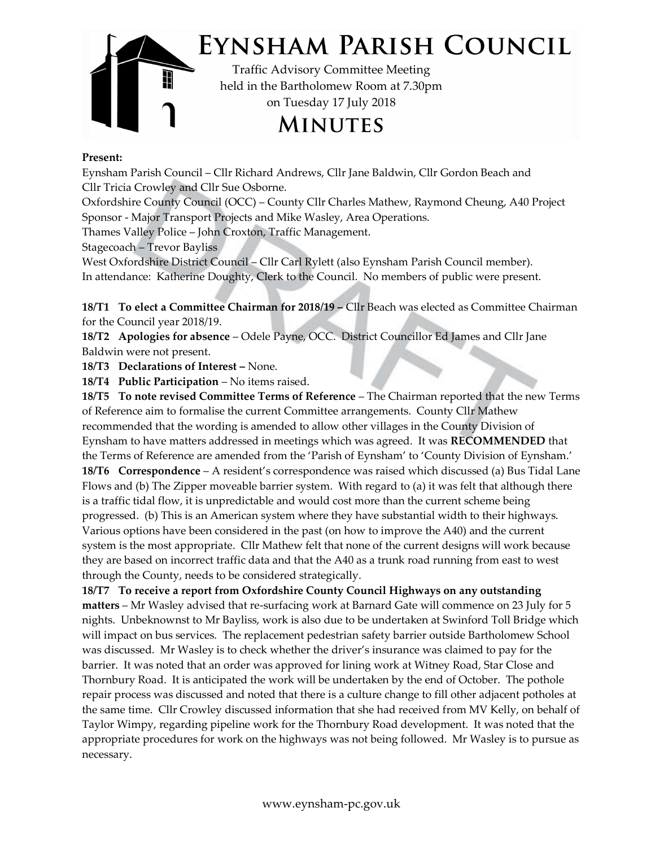

## Present:

Eynsham Parish Council – Cllr Richard Andrews, Cllr Jane Baldwin, Cllr Gordon Beach and Cllr Tricia Crowley and Cllr Sue Osborne.

Oxfordshire County Council (OCC) – County Cllr Charles Mathew, Raymond Cheung, A40 Project Sponsor - Major Transport Projects and Mike Wasley, Area Operations.

Thames Valley Police – John Croxton, Traffic Management.

Stagecoach – Trevor Bayliss

West Oxfordshire District Council – Cllr Carl Rylett (also Eynsham Parish Council member). In attendance: Katherine Doughty, Clerk to the Council. No members of public were present.

18/T1 To elect a Committee Chairman for 2018/19 – Cllr Beach was elected as Committee Chairman for the Council year 2018/19.

18/T2 Apologies for absence – Odele Payne, OCC. District Councillor Ed James and Cllr Jane Baldwin were not present.

18/T3 Declarations of Interest – None.

18/T4 Public Participation – No items raised.

18/T5 To note revised Committee Terms of Reference – The Chairman reported that the new Terms of Reference aim to formalise the current Committee arrangements. County Cllr Mathew recommended that the wording is amended to allow other villages in the County Division of Eynsham to have matters addressed in meetings which was agreed. It was RECOMMENDED that the Terms of Reference are amended from the 'Parish of Eynsham' to 'County Division of Eynsham.' 18/T6 Correspondence – A resident's correspondence was raised which discussed (a) Bus Tidal Lane Flows and (b) The Zipper moveable barrier system. With regard to (a) it was felt that although there is a traffic tidal flow, it is unpredictable and would cost more than the current scheme being progressed. (b) This is an American system where they have substantial width to their highways. Various options have been considered in the past (on how to improve the A40) and the current system is the most appropriate. Cllr Mathew felt that none of the current designs will work because they are based on incorrect traffic data and that the A40 as a trunk road running from east to west through the County, needs to be considered strategically.

 Thornbury Road. It is anticipated the work will be undertaken by the end of October. The pothole 18/T7 To receive a report from Oxfordshire County Council Highways on any outstanding matters – Mr Wasley advised that re-surfacing work at Barnard Gate will commence on 23 July for 5 nights. Unbeknownst to Mr Bayliss, work is also due to be undertaken at Swinford Toll Bridge which will impact on bus services. The replacement pedestrian safety barrier outside Bartholomew School was discussed. Mr Wasley is to check whether the driver's insurance was claimed to pay for the barrier. It was noted that an order was approved for lining work at Witney Road, Star Close and repair process was discussed and noted that there is a culture change to fill other adjacent potholes at the same time. Cllr Crowley discussed information that she had received from MV Kelly, on behalf of Taylor Wimpy, regarding pipeline work for the Thornbury Road development. It was noted that the appropriate procedures for work on the highways was not being followed. Mr Wasley is to pursue as necessary.